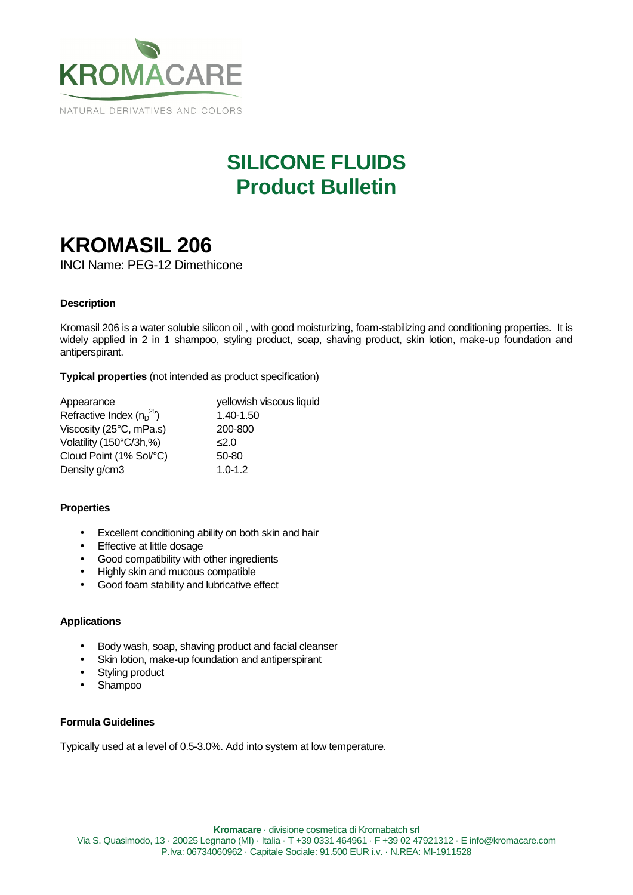

# **SILICONE FLUIDS Product Bulletin**

# **KROMASIL 206**

INCI Name: PEG-12 Dimethicone

### **Description**

Kromasil 206 is a water soluble silicon oil , with good moisturizing, foam-stabilizing and conditioning properties. It is widely applied in 2 in 1 shampoo, styling product, soap, shaving product, skin lotion, make-up foundation and antiperspirant.

**Typical properties** (not intended as product specification)

| Appearance                    | yellowish viscous liquid |
|-------------------------------|--------------------------|
| Refractive Index $(n_D^{25})$ | 1.40-1.50                |
| Viscosity (25°C, mPa.s)       | 200-800                  |
| Volatility (150°C/3h,%)       | 2.0                      |
| Cloud Point (1% Sol/°C)       | 50-80                    |
| Density g/cm3                 | $1.0 - 1.2$              |

### **Properties**

- Excellent conditioning ability on both skin and hair
- Effective at little dosage
- Good compatibility with other ingredients
- Highly skin and mucous compatible
- Good foam stability and lubricative effect

### **Applications**

- Body wash, soap, shaving product and facial cleanser
- Skin lotion, make-up foundation and antiperspirant
- Styling product
- Shampoo

#### **Formula Guidelines**

Typically used at a level of 0.5-3.0%. Add into system at low temperature.